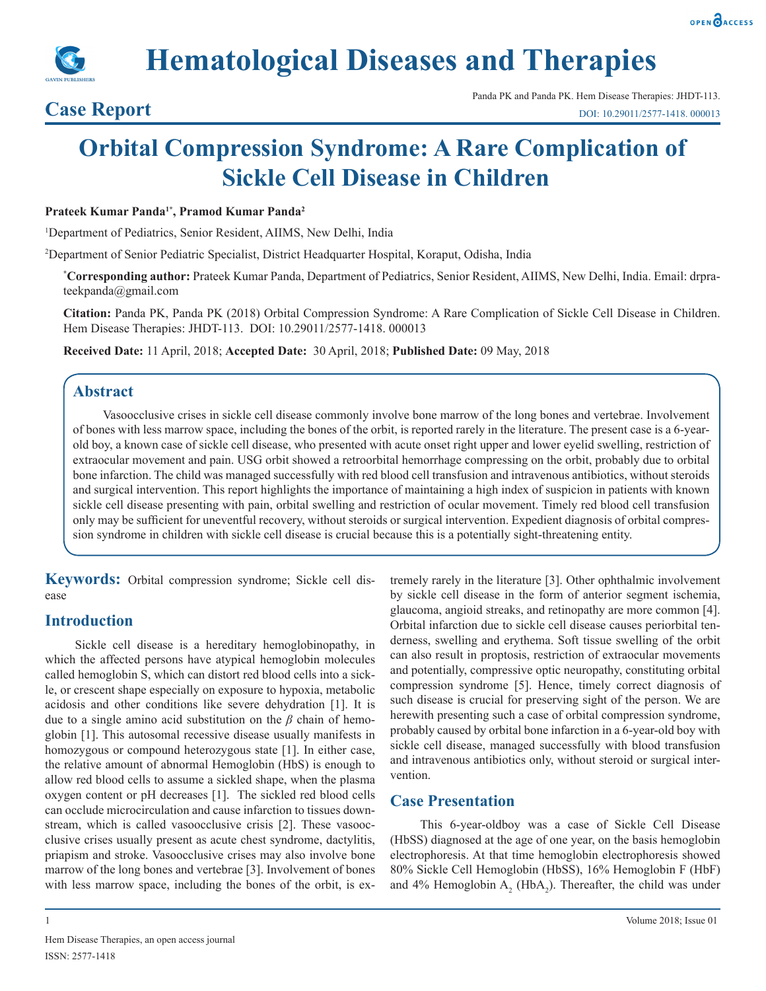



# **Hematological Diseases and Therapies**

### **Case Report**

## **Orbital Compression Syndrome: A Rare Complication of Sickle Cell Disease in Children**

#### **Prateek Kumar Panda1\*, Pramod Kumar Panda2**

1 Department of Pediatrics, Senior Resident, AIIMS, New Delhi, India

2 Department of Senior Pediatric Specialist, District Headquarter Hospital, Koraput, Odisha, India

**\* Corresponding author:** Prateek Kumar Panda, Department of Pediatrics, Senior Resident, AIIMS, New Delhi, India. Email: drprateekpanda@gmail.com

**Citation:** Panda PK, Panda PK (2018) Orbital Compression Syndrome: A Rare Complication of Sickle Cell Disease in Children. Hem Disease Therapies: JHDT-113. DOI: 10.29011/2577-1418. 000013

**Received Date:** 11 April, 2018; **Accepted Date:** 30 April, 2018; **Published Date:** 09 May, 2018

#### **Abstract**

Vasoocclusive crises in sickle cell disease commonly involve bone marrow of the long bones and vertebrae. Involvement of bones with less marrow space, including the bones of the orbit, is reported rarely in the literature. The present case is a 6-yearold boy, a known case of sickle cell disease, who presented with acute onset right upper and lower eyelid swelling, restriction of extraocular movement and pain. USG orbit showed a retroorbital hemorrhage compressing on the orbit, probably due to orbital bone infarction. The child was managed successfully with red blood cell transfusion and intravenous antibiotics, without steroids and surgical intervention. This report highlights the importance of maintaining a high index of suspicion in patients with known sickle cell disease presenting with pain, orbital swelling and restriction of ocular movement. Timely red blood cell transfusion only may be sufficient for uneventful recovery, without steroids or surgical intervention. Expedient diagnosis of orbital compression syndrome in children with sickle cell disease is crucial because this is a potentially sight-threatening entity.

**Keywords:** Orbital compression syndrome; Sickle cell disease

#### **Introduction**

Sickle cell disease is a hereditary hemoglobinopathy, in which the affected persons have atypical hemoglobin molecules called hemoglobin S, which can distort red blood cells into a sickle, or crescent shape especially on exposure to hypoxia, metabolic acidosis and other conditions like severe dehydration [1]. It is due to a single amino acid substitution on the *β* chain of hemoglobin [1]. This autosomal recessive disease usually manifests in homozygous or compound heterozygous state [1]. In either case, the relative amount of abnormal Hemoglobin (HbS) is enough to allow red blood cells to assume a sickled shape, when the plasma oxygen content or pH decreases [1]. The sickled red blood cells can occlude microcirculation and cause infarction to tissues downstream, which is called vasoocclusive crisis [2]. These vasoocclusive crises usually present as acute chest syndrome, dactylitis, priapism and stroke. Vasoocclusive crises may also involve bone marrow of the long bones and vertebrae [3]. Involvement of bones with less marrow space, including the bones of the orbit, is extremely rarely in the literature [3]. Other ophthalmic involvement by sickle cell disease in the form of anterior segment ischemia, glaucoma, angioid streaks, and retinopathy are more common [4]. Orbital infarction due to sickle cell disease causes periorbital tenderness, swelling and erythema. Soft tissue swelling of the orbit can also result in proptosis, restriction of extraocular movements and potentially, compressive optic neuropathy, constituting orbital compression syndrome [5]. Hence, timely correct diagnosis of such disease is crucial for preserving sight of the person. We are herewith presenting such a case of orbital compression syndrome, probably caused by orbital bone infarction in a 6-year-old boy with sickle cell disease, managed successfully with blood transfusion and intravenous antibiotics only, without steroid or surgical intervention.

#### **Case Presentation**

This 6-year-oldboy was a case of Sickle Cell Disease (HbSS) diagnosed at the age of one year, on the basis hemoglobin electrophoresis. At that time hemoglobin electrophoresis showed 80% Sickle Cell Hemoglobin (HbSS), 16% Hemoglobin F (HbF) and 4% Hemoglobin  $A_2$  (Hb $A_2$ ). Thereafter, the child was under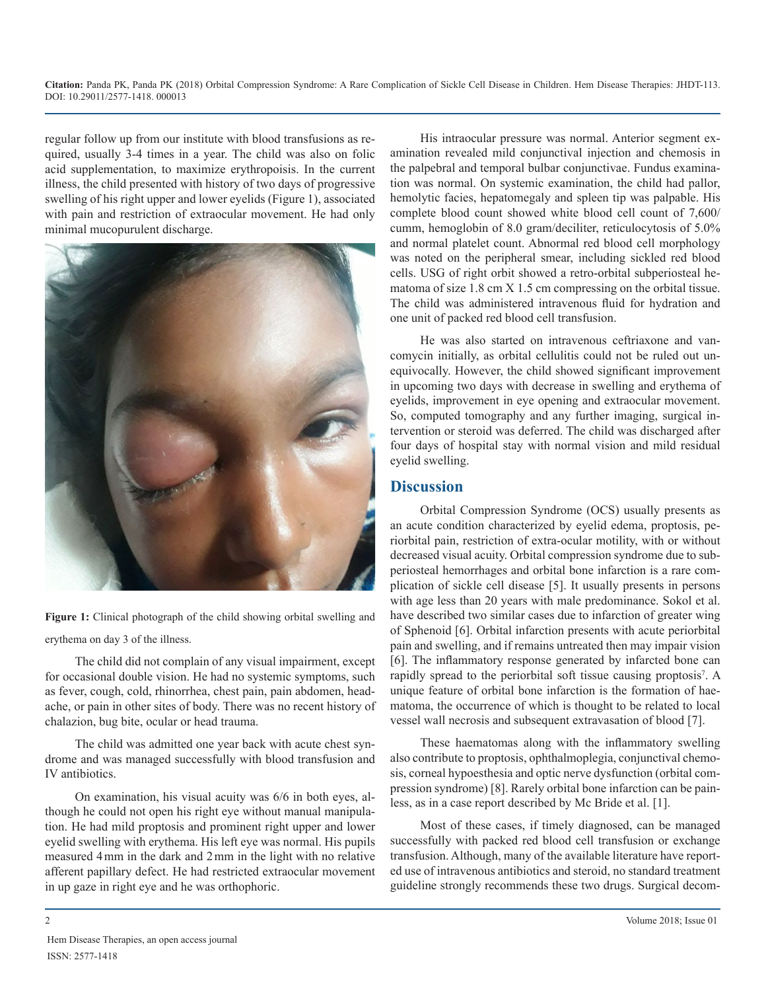**Citation:** Panda PK, Panda PK (2018) Orbital Compression Syndrome: A Rare Complication of Sickle Cell Disease in Children. Hem Disease Therapies: JHDT-113. DOI: 10.29011/2577-1418. 000013

regular follow up from our institute with blood transfusions as required, usually 3-4 times in a year. The child was also on folic acid supplementation, to maximize erythropoisis. In the current illness, the child presented with history of two days of progressive swelling of his right upper and lower eyelids (Figure 1), associated with pain and restriction of extraocular movement. He had only minimal mucopurulent discharge.



**Figure 1:** Clinical photograph of the child showing orbital swelling and erythema on day 3 of the illness.

The child did not complain of any visual impairment, except for occasional double vision. He had no systemic symptoms, such as fever, cough, cold, rhinorrhea, chest pain, pain abdomen, headache, or pain in other sites of body. There was no recent history of chalazion, bug bite, ocular or head trauma.

The child was admitted one year back with acute chest syndrome and was managed successfully with blood transfusion and IV antibiotics.

On examination, his visual acuity was 6/6 in both eyes, although he could not open his right eye without manual manipulation. He had mild proptosis and prominent right upper and lower eyelid swelling with erythema. His left eye was normal. His pupils measured 4mm in the dark and 2mm in the light with no relative afferent papillary defect. He had restricted extraocular movement in up gaze in right eye and he was orthophoric.

His intraocular pressure was normal. Anterior segment examination revealed mild conjunctival injection and chemosis in the palpebral and temporal bulbar conjunctivae. Fundus examination was normal. On systemic examination, the child had pallor, hemolytic facies, hepatomegaly and spleen tip was palpable. His complete blood count showed white blood cell count of 7,600/ cumm, hemoglobin of 8.0 gram/deciliter, reticulocytosis of 5.0% and normal platelet count. Abnormal red blood cell morphology was noted on the peripheral smear, including sickled red blood cells. USG of right orbit showed a retro-orbital subperiosteal hematoma of size 1.8 cm X 1.5 cm compressing on the orbital tissue. The child was administered intravenous fluid for hydration and one unit of packed red blood cell transfusion.

He was also started on intravenous ceftriaxone and vancomycin initially, as orbital cellulitis could not be ruled out unequivocally. However, the child showed significant improvement in upcoming two days with decrease in swelling and erythema of eyelids, improvement in eye opening and extraocular movement. So, computed tomography and any further imaging, surgical intervention or steroid was deferred. The child was discharged after four days of hospital stay with normal vision and mild residual eyelid swelling.

#### **Discussion**

Orbital Compression Syndrome (OCS) usually presents as an acute condition characterized by eyelid edema, proptosis, periorbital pain, restriction of extra-ocular motility, with or without decreased visual acuity. Orbital compression syndrome due to subperiosteal hemorrhages and orbital bone infarction is a rare complication of sickle cell disease [5]. It usually presents in persons with age less than 20 years with male predominance. Sokol et al. have described two similar cases due to infarction of greater wing of Sphenoid [6]. Orbital infarction presents with acute periorbital pain and swelling, and if remains untreated then may impair vision [6]. The inflammatory response generated by infarcted bone can rapidly spread to the periorbital soft tissue causing proptosis<sup>7</sup>. A unique feature of orbital bone infarction is the formation of haematoma, the occurrence of which is thought to be related to local vessel wall necrosis and subsequent extravasation of blood [7].

These haematomas along with the inflammatory swelling also contribute to proptosis, ophthalmoplegia, conjunctival chemosis, corneal hypoesthesia and optic nerve dysfunction (orbital compression syndrome) [8]. Rarely orbital bone infarction can be painless, as in a case report described by Mc Bride et al. [1].

Most of these cases, if timely diagnosed, can be managed successfully with packed red blood cell transfusion or exchange transfusion. Although, many of the available literature have reported use of intravenous antibiotics and steroid, no standard treatment guideline strongly recommends these two drugs. Surgical decom